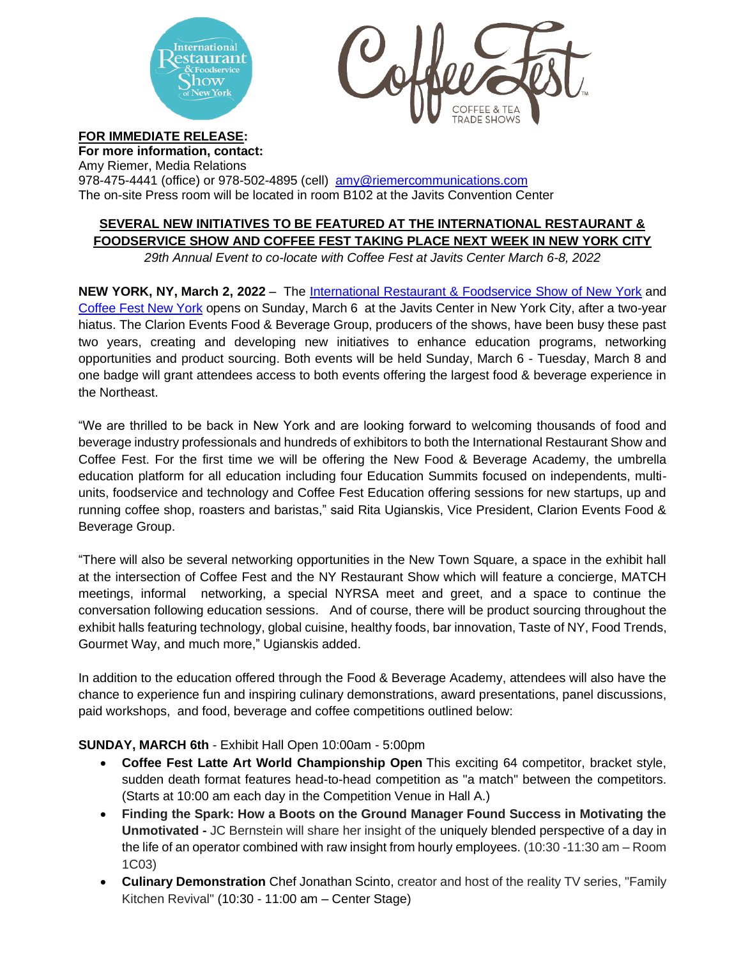

**FOR IMMEDIATE RELEASE: For more information, contact:**



Amy Riemer, Media Relations 978-475-4441 (office) or 978-502-4895 (cell) [amy@riemercommunications.com](mailto:amy@riemercommunications.com) The on-site Press room will be located in room B102 at the Javits Convention Center

## **SEVERAL NEW INITIATIVES TO BE FEATURED AT THE INTERNATIONAL RESTAURANT & FOODSERVICE SHOW AND COFFEE FEST TAKING PLACE NEXT WEEK IN NEW YORK CITY**

*29th Annual Event to co-locate with Coffee Fest at Javits Center March 6-8, 2022*

**NEW YORK, NY, March 2, 2022** – The [International Restaurant & Foodservice Show of New York](https://www.internationalrestaurantny.com/) and [Coffee Fest](https://www.coffeefest.com/) New York opens on Sunday, March 6 at the Javits Center in New York City, after a two-year hiatus. The Clarion Events Food & Beverage Group, producers of the shows, have been busy these past two years, creating and developing new initiatives to enhance education programs, networking opportunities and product sourcing. Both events will be held Sunday, March 6 - Tuesday, March 8 and one badge will grant attendees access to both events offering the largest food & beverage experience in the Northeast.

"We are thrilled to be back in New York and are looking forward to welcoming thousands of food and beverage industry professionals and hundreds of exhibitors to both the International Restaurant Show and Coffee Fest. For the first time we will be offering the New Food & Beverage Academy, the umbrella education platform for all education including four Education Summits focused on independents, multiunits, foodservice and technology and Coffee Fest Education offering sessions for new startups, up and running coffee shop, roasters and baristas," said Rita Ugianskis, Vice President, Clarion Events Food & Beverage Group.

"There will also be several networking opportunities in the New Town Square, a space in the exhibit hall at the intersection of Coffee Fest and the NY Restaurant Show which will feature a concierge, MATCH meetings, informal networking, a special NYRSA meet and greet, and a space to continue the conversation following education sessions. And of course, there will be product sourcing throughout the exhibit halls featuring technology, global cuisine, healthy foods, bar innovation, Taste of NY, Food Trends, Gourmet Way, and much more," Ugianskis added.

In addition to the education offered through the Food & Beverage Academy, attendees will also have the chance to experience fun and inspiring culinary demonstrations, award presentations, panel discussions, paid workshops, and food, beverage and coffee competitions outlined below:

## **SUNDAY, MARCH 6th** - Exhibit Hall Open 10:00am - 5:00pm

- **Coffee Fest Latte Art World Championship Open** This exciting 64 competitor, bracket style, sudden death format features head-to-head competition as "a match" between the competitors. (Starts at 10:00 am each day in the Competition Venue in Hall A.)
- **Finding the Spark: How a Boots on the Ground Manager Found Success in Motivating the Unmotivated -** JC Bernstein will share her insight of the uniquely blended perspective of a day in the life of an operator combined with raw insight from hourly employees. (10:30 -11:30 am – Room 1C03)
- **Culinary Demonstration** Chef Jonathan Scinto, creator and host of the reality TV series, "Family Kitchen Revival" (10:30 - 11:00 am – Center Stage)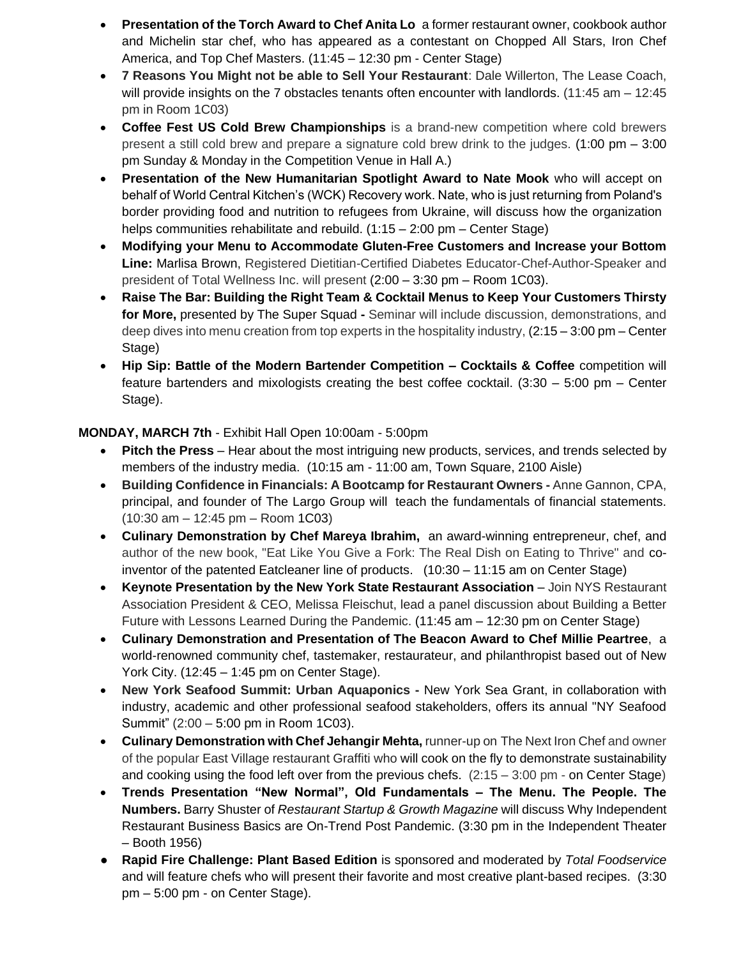- **Presentation of the Torch Award to Chef Anita Lo** a former restaurant owner, cookbook author and Michelin star chef, who has appeared as a contestant on Chopped All Stars, Iron Chef America, and Top Chef Masters. (11:45 – 12:30 pm - Center Stage)
- **7 Reasons You Might not be able to Sell Your Restaurant**: Dale Willerton, The Lease Coach, will provide insights on the 7 obstacles tenants often encounter with landlords. (11:45 am – 12:45 pm in Room 1C03)
- **Coffee Fest US Cold Brew Championships** is a brand-new competition where cold brewers present a still cold brew and prepare a signature cold brew drink to the judges. (1:00 pm – 3:00 pm Sunday & Monday in the Competition Venue in Hall A.)
- **Presentation of the New Humanitarian Spotlight Award to Nate Mook** who will accept on behalf of World Central Kitchen's (WCK) Recovery work. Nate, who is just returning from Poland's border providing food and nutrition to refugees from Ukraine, will discuss how the organization helps communities rehabilitate and rebuild. (1:15 – 2:00 pm – Center Stage)
- **Modifying your Menu to Accommodate Gluten-Free Customers and Increase your Bottom Line:** Marlisa Brown, Registered Dietitian-Certified Diabetes Educator-Chef-Author-Speaker and president of Total Wellness Inc. will present (2:00 – 3:30 pm – Room 1C03).
- **Raise The Bar: Building the Right Team & Cocktail Menus to Keep Your Customers Thirsty for More,** presented by The Super Squad **-** Seminar will include discussion, demonstrations, and deep dives into menu creation from top experts in the hospitality industry,  $(2:15 - 3:00 \text{ pm} - \text{Center})$ Stage)
- **Hip Sip: Battle of the Modern Bartender Competition – Cocktails & Coffee** competition will feature bartenders and mixologists creating the best coffee cocktail. (3:30 – 5:00 pm – Center Stage).

**MONDAY, MARCH 7th** - Exhibit Hall Open 10:00am - 5:00pm

- **Pitch the Press** Hear about the most intriguing new products, services, and trends selected by members of the industry media. (10:15 am - 11:00 am, Town Square, 2100 Aisle)
- **Building Confidence in Financials: A Bootcamp for Restaurant Owners -** Anne Gannon, CPA, principal, and founder of The Largo Group will teach the fundamentals of financial statements. (10:30 am – 12:45 pm – Room 1C03)
- **Culinary Demonstration by Chef Mareya Ibrahim,** an award-winning entrepreneur, chef, and author of the new book, "Eat Like You Give a Fork: The Real Dish on Eating to Thrive" and coinventor of the patented Eatcleaner line of products. (10:30 – 11:15 am on Center Stage)
- **Keynote Presentation by the New York State Restaurant Association**  Join NYS Restaurant Association President & CEO, Melissa Fleischut, lead a panel discussion about Building a Better Future with Lessons Learned During the Pandemic. (11:45 am – 12:30 pm on Center Stage)
- **Culinary Demonstration and Presentation of The Beacon Award to Chef Millie Peartree**, a world-renowned community chef, tastemaker, restaurateur, and philanthropist based out of New York City. (12:45 – 1:45 pm on Center Stage).
- **New York Seafood Summit: Urban Aquaponics -** New York Sea Grant, in collaboration with industry, academic and other professional seafood stakeholders, offers its annual "NY Seafood Summit" (2:00 – 5:00 pm in Room 1C03).
- **Culinary Demonstration with Chef Jehangir Mehta,** runner-up on The Next Iron Chef and owner of the popular East Village restaurant Graffiti who will cook on the fly to demonstrate sustainability and cooking using the food left over from the previous chefs. (2:15 – 3:00 pm - on Center Stage)
- **Trends Presentation "New Normal", Old Fundamentals – The Menu. The People. The Numbers.** Barry Shuster of *Restaurant Startup & Growth Magazine* will discuss Why Independent Restaurant Business Basics are On-Trend Post Pandemic. (3:30 pm in the Independent Theater – Booth 1956)
- **Rapid Fire Challenge: Plant Based Edition** is sponsored and moderated by *Total Foodservice*  and will feature chefs who will present their favorite and most creative plant-based recipes. (3:30 pm – 5:00 pm - on Center Stage).